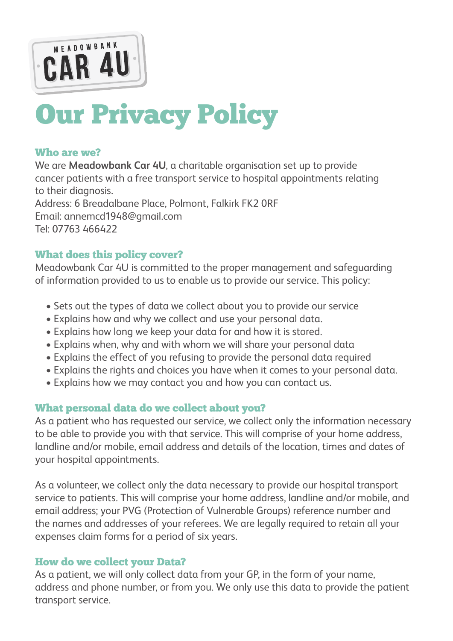

# Our Privacy Policy

#### Who are we?

We are **Meadowbank Car 4U**, a charitable organisation set up to provide cancer patients with a free transport service to hospital appointments relating to their diagnosis. Address: 6 Breadalbane Place, Polmont, Falkirk FK2 0RF Email: annemcd1948@gmail.com Tel: 07763 466422

#### What does this policy cover?

Meadowbank Car 4U is committed to the proper management and safeguarding of information provided to us to enable us to provide our service. This policy:

- Sets out the types of data we collect about you to provide our service
- Explains how and why we collect and use your personal data.
- Explains how long we keep your data for and how it is stored.
- Explains when, why and with whom we will share your personal data
- Explains the effect of you refusing to provide the personal data required
- Explains the rights and choices you have when it comes to your personal data.
- Explains how we may contact you and how you can contact us.

## What personal data do we collect about you?

As a patient who has requested our service, we collect only the information necessary to be able to provide you with that service. This will comprise of your home address, landline and/or mobile, email address and details of the location, times and dates of your hospital appointments.

As a volunteer, we collect only the data necessary to provide our hospital transport service to patients. This will comprise your home address, landline and/or mobile, and email address; your PVG (Protection of Vulnerable Groups) reference number and the names and addresses of your referees. We are legally required to retain all your expenses claim forms for a period of six years.

#### How do we collect your Data?

As a patient, we will only collect data from your GP, in the form of your name, address and phone number, or from you. We only use this data to provide the patient transport service.